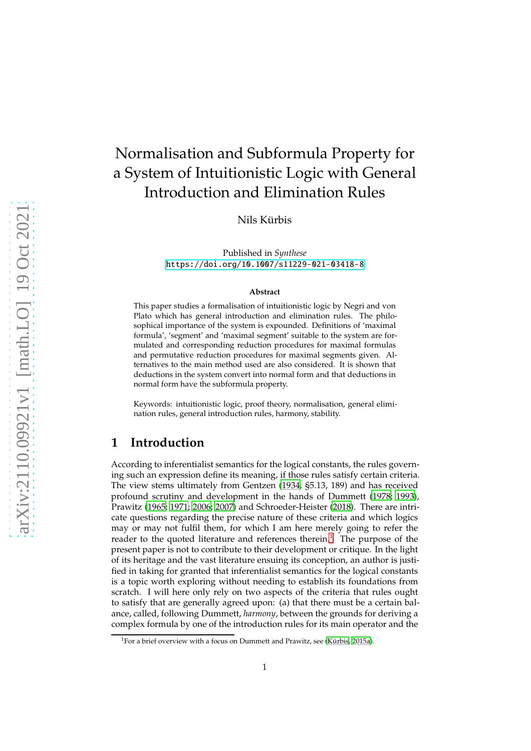# Normalisation and Subformula Property for a System of Intuitionistic Logic with General Introduction and Elimination Rules

Nils Kürbis

Published in *Synthese* <https://doi.org/10.1007/s11229-021-03418-8>

#### **Abstract**

This paper studies a formalisation of intuitionistic logic by Negri and von Plato which has general introduction and elimination rules. The philosophical importance of the system is expounded. Definitions of 'maximal formula', 'segment' and 'maximal segment' suitable to the system are formulated and corresponding reduction procedures for maximal formulas and permutative reduction procedures for maximal segments given. Alternatives to the main method used are also considered. It is shown that deductions in the system convert into normal form and that deductions in normal form have the subformula property.

Keywords: intuitionistic logic, proof theory, normalisation, general elimination rules, general introduction rules, harmony, stability.

### **1 Introduction**

According to inferentialist semantics for the logical constants, the rules governing such an expression define its meaning, if those rules satisfy certain criteria. The view stems ultimately from Gentzen [\(1934,](#page-23-0) §5.13, 189) and has received profound scrutiny and development in the hands of Dummett [\(1978;](#page-23-1) [1993\)](#page-23-2), Prawitz [\(1965;](#page-24-0) [1971;](#page-24-1) [2006](#page-24-2); [2007\)](#page-24-3) and Schroeder-Heister [\(2018](#page-24-4)). There are intricate questions regarding the precise nature of these criteria and which logics may or may not fulfil them, for which I am here merely going to refer the reader to the quoted literature and references therein.<sup>[1](#page-0-0)</sup> The purpose of the present paper is not to contribute to their development or critique. In the light of its heritage and the vast literature ensuing its conception, an author is justified in taking for granted that inferentialist semantics for the logical constants is a topic worth exploring without needing to establish its foundations from scratch. I will here only rely on two aspects of the criteria that rules ought to satisfy that are generally agreed upon: (a) that there must be a certain balance, called, following Dummett, *harmony*, between the grounds for deriving a complex formula by one of the introduction rules for its main operator and the

<span id="page-0-0"></span> $1$ For a brief overview with a focus on Dummett and Prawitz, see (Kürbis, 2015a).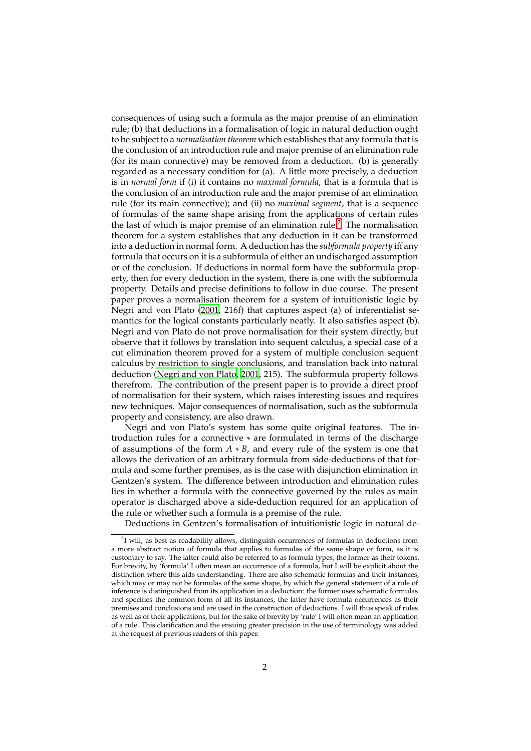consequences of using such a formula as the major premise of an elimination rule; (b) that deductions in a formalisation of logic in natural deduction ought to be subject to a *normalisation theorem* which establishes that any formula that is the conclusion of an introduction rule and major premise of an elimination rule (for its main connective) may be removed from a deduction. (b) is generally regarded as a necessary condition for (a). A little more precisely, a deduction is in *normal form* if (i) it contains no *maximal formula*, that is a formula that is the conclusion of an introduction rule and the major premise of an elimination rule (for its main connective); and (ii) no *maximal segment*, that is a sequence of formulas of the same shape arising from the applications of certain rules the last of which is major premise of an elimination rule.<sup>[2](#page-1-0)</sup> The normalisation theorem for a system establishes that any deduction in it can be transformed into a deduction in normal form. A deduction has the *subformula property* iff any formula that occurs on it is a subformula of either an undischarged assumption or of the conclusion. If deductions in normal form have the subformula property, then for every deduction in the system, there is one with the subformula property. Details and precise definitions to follow in due course. The present paper proves a normalisation theorem for a system of intuitionistic logic by Negri and von Plato [\(2001,](#page-24-6) 216f) that captures aspect (a) of inferentialist semantics for the logical constants particularly neatly. It also satisfies aspect (b). Negri and von Plato do not prove normalisation for their system directly, but observe that it follows by translation into sequent calculus, a special case of a cut elimination theorem proved for a system of multiple conclusion sequent calculus by restriction to single conclusions, and translation back into natural deduction [\(Negri and von Plato, 2001](#page-24-6), 215). The subformula property follows therefrom. The contribution of the present paper is to provide a direct proof of normalisation for their system, which raises interesting issues and requires new techniques. Major consequences of normalisation, such as the subformula property and consistency, are also drawn.

Negri and von Plato's system has some quite original features. The introduction rules for a connective ∗ are formulated in terms of the discharge of assumptions of the form *A* ∗ *B*, and every rule of the system is one that allows the derivation of an arbitrary formula from side-deductions of that formula and some further premises, as is the case with disjunction elimination in Gentzen's system. The difference between introduction and elimination rules lies in whether a formula with the connective governed by the rules as main operator is discharged above a side-deduction required for an application of the rule or whether such a formula is a premise of the rule.

Deductions in Gentzen's formalisation of intuitionistic logic in natural de-

<span id="page-1-0"></span><sup>&</sup>lt;sup>2</sup>I will, as best as readability allows, distinguish occurrences of formulas in deductions from a more abstract notion of formula that applies to formulas of the same shape or form, as it is customary to say. The latter could also be referred to as formula types, the former as their tokens. For brevity, by 'formula' I often mean an occurrence of a formula, but I will be explicit about the distinction where this aids understanding. There are also schematic formulas and their instances, which may or may not be formulas of the same shape, by which the general statement of a rule of inference is distinguished from its application in a deduction: the former uses schematic formulas and specifies the common form of all its instances, the latter have formula occurrences as their premises and conclusions and are used in the construction of deductions. I will thus speak of rules as well as of their applications, but for the sake of brevity by 'rule' I will often mean an application of a rule. This clarification and the ensuing greater precision in the use of terminology was added at the request of previous readers of this paper.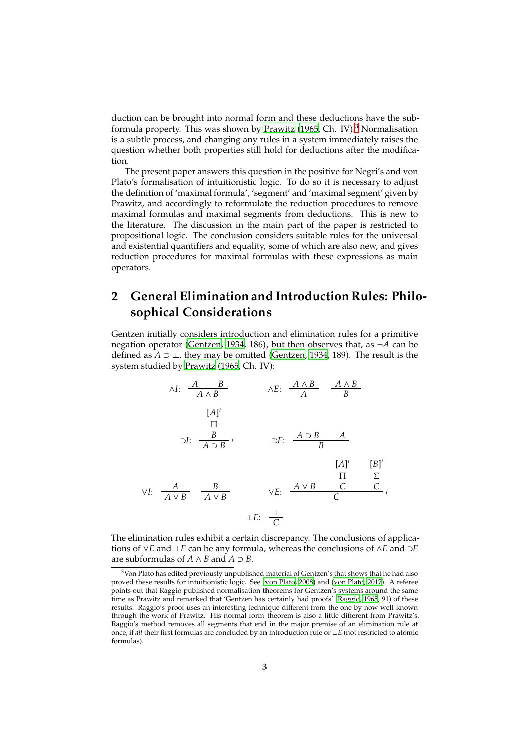duction can be brought into normal form and these deductions have the sub-formula property. This was shown by [Prawitz \(1965,](#page-24-0) Ch. IV).<sup>[3](#page-2-0)</sup> Normalisation is a subtle process, and changing any rules in a system immediately raises the question whether both properties still hold for deductions after the modification.

The present paper answers this question in the positive for Negri's and von Plato's formalisation of intuitionistic logic. To do so it is necessary to adjust the definition of 'maximal formula', 'segment' and 'maximal segment' given by Prawitz, and accordingly to reformulate the reduction procedures to remove maximal formulas and maximal segments from deductions. This is new to the literature. The discussion in the main part of the paper is restricted to propositional logic. The conclusion considers suitable rules for the universal and existential quantifiers and equality, some of which are also new, and gives reduction procedures for maximal formulas with these expressions as main operators.

## **2 General Elimination and Introduction Rules: Philosophical Considerations**

Gentzen initially considers introduction and elimination rules for a primitive negation operator [\(Gentzen, 1934,](#page-23-0) 186), but then observes that, as ¬*A* can be defined as *A* ⊃ ⊥, they may be omitted [\(Gentzen, 1934,](#page-23-0) 189). The result is the system studied by [Prawitz](#page-24-0) [\(1965,](#page-24-0) Ch. IV):



The elimination rules exhibit a certain discrepancy. The conclusions of applications of ∨*E* and ⊥*E* can be any formula, whereas the conclusions of ∧*E* and ⊃*E* are subformulas of *A*  $\land$  *B* and *A*  $\supset$  *B*.

<span id="page-2-0"></span><sup>&</sup>lt;sup>3</sup>Von Plato has edited previously unpublished material of Gentzen's that shows that he had also proved these results for intuitionistic logic. See [\(von Plato](#page-24-7), [2008\)](#page-24-7) and [\(von Plato, 2017\)](#page-24-8). A referee points out that Raggio published normalisation theorems for Gentzen's systems around the same time as Prawitz and remarked that 'Gentzen has certainly had proofs' [\(Raggio](#page-24-9), [1965](#page-24-9), 91) of these results. Raggio's proof uses an interesting technique different from the one by now well known through the work of Prawitz. His normal form theorem is also a little different from Prawitz's. Raggio's method removes all segments that end in the major premise of an elimination rule at once, if *all* their first formulas are concluded by an introduction rule or ⊥*E* (not restricted to atomic formulas).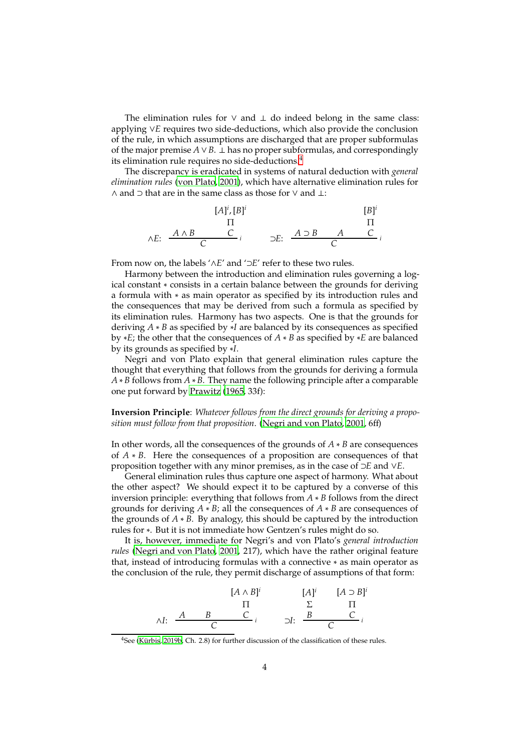The elimination rules for  $\vee$  and  $\perp$  do indeed belong in the same class: applying ∨*E* requires two side-deductions, which also provide the conclusion of the rule, in which assumptions are discharged that are proper subformulas of the major premise  $A ∨ B$ . ⊥ has no proper subformulas, and correspondingly its elimination rule requires no side-deductions.[4](#page-3-0)

The discrepancy is eradicated in systems of natural deduction with *general elimination rules* [\(von Plato](#page-24-10), [2001\)](#page-24-10), which have alternative elimination rules for ∧ and ⊃ that are in the same class as those for ∨ and ⊥:

$$
[A]^i, [B]^i
$$
\n
$$
\Pi
$$
\n
$$
\wedge E: \begin{array}{ccc} & A \wedge B & C \\ \hline C & C & i \end{array} \qquad \supset E: \begin{array}{ccc} & A \supset B & A & C \\ \hline C & C & i \end{array}
$$

From now on, the labels '∧*E*' and '⊃*E*' refer to these two rules.

Harmony between the introduction and elimination rules governing a logical constant ∗ consists in a certain balance between the grounds for deriving a formula with ∗ as main operator as specified by its introduction rules and the consequences that may be derived from such a formula as specified by its elimination rules. Harmony has two aspects. One is that the grounds for deriving *A* ∗ *B* as specified by ∗*I* are balanced by its consequences as specified by ∗*E*; the other that the consequences of *A* ∗ *B* as specified by ∗*E* are balanced by its grounds as specified by ∗*I*.

Negri and von Plato explain that general elimination rules capture the thought that everything that follows from the grounds for deriving a formula *A* ∗ *B* follows from *A* ∗ *B*. They name the following principle after a comparable one put forward by [Prawitz \(1965,](#page-24-0) 33f):

**Inversion Principle**: *Whatever follows from the direct grounds for deriving a proposition must follow from that proposition*. [\(Negri and von Plato](#page-24-6), [2001](#page-24-6), 6ff)

In other words, all the consequences of the grounds of *A* ∗ *B* are consequences of *A* ∗ *B*. Here the consequences of a proposition are consequences of that proposition together with any minor premises, as in the case of ⊃*E* and ∨*E*.

General elimination rules thus capture one aspect of harmony. What about the other aspect? We should expect it to be captured by a converse of this inversion principle: everything that follows from *A* ∗ *B* follows from the direct grounds for deriving *A* ∗ *B*; all the consequences of *A* ∗ *B* are consequences of the grounds of *A* ∗ *B*. By analogy, this should be captured by the introduction rules for ∗. But it is not immediate how Gentzen's rules might do so.

It is, however, immediate for Negri's and von Plato's *general introduction rules* [\(Negri and von Plato, 2001,](#page-24-6) 217), which have the rather original feature that, instead of introducing formulas with a connective ∗ as main operator as the conclusion of the rule, they permit discharge of assumptions of that form:

$$
\begin{array}{cccc}\n[A \wedge B]^i & [A]^i & [A \supset B]^i \\
\hline\n\Pi & \Sigma & \Pi \\
\wedge I: & \xrightarrow{A} & B & C \\
\hline\nC & \xrightarrow{i} & \neg J: & \xrightarrow{B} & C \\
\end{array}
$$

<span id="page-3-0"></span><sup>4</sup>See (Kürbis, [2019b,](#page-24-11) Ch. 2.8) for further discussion of the classification of these rules.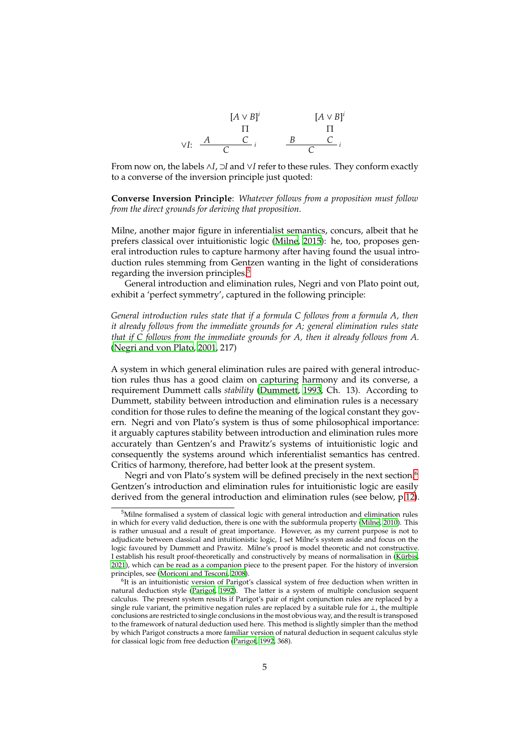

From now on, the labels ∧*I*, ⊃*I* and ∨*I* refer to these rules. They conform exactly to a converse of the inversion principle just quoted:

**Converse Inversion Principle**: *Whatever follows from a proposition must follow from the direct grounds for deriving that proposition*.

Milne, another major figure in inferentialist semantics, concurs, albeit that he prefers classical over intuitionistic logic [\(Milne, 2015\)](#page-24-12): he, too, proposes general introduction rules to capture harmony after having found the usual introduction rules stemming from Gentzen wanting in the light of considerations regarding the inversion principles.<sup>[5](#page-4-0)</sup>

General introduction and elimination rules, Negri and von Plato point out, exhibit a 'perfect symmetry', captured in the following principle:

*General introduction rules state that if a formula C follows from a formula A, then it already follows from the immediate grounds for A; general elimination rules state that if C follows from the immediate grounds for A, then it already follows from A.* [\(Negri and von Plato, 2001,](#page-24-6) 217)

A system in which general elimination rules are paired with general introduction rules thus has a good claim on capturing harmony and its converse, a requirement Dummett calls *stability* [\(Dummett, 1993,](#page-23-2) Ch. 13). According to Dummett, stability between introduction and elimination rules is a necessary condition for those rules to define the meaning of the logical constant they govern. Negri and von Plato's system is thus of some philosophical importance: it arguably captures stability between introduction and elimination rules more accurately than Gentzen's and Prawitz's systems of intuitionistic logic and consequently the systems around which inferentialist semantics has centred. Critics of harmony, therefore, had better look at the present system.

Negri and von Plato's system will be defined precisely in the next section.<sup>[6](#page-4-1)</sup> Gentzen's introduction and elimination rules for intuitionistic logic are easily derived from the general introduction and elimination rules (see below, p[.12\)](#page-9-0).

<span id="page-4-0"></span><sup>&</sup>lt;sup>5</sup>Milne formalised a system of classical logic with general introduction and elimination rules in which for every valid deduction, there is one with the subformula property [\(Milne](#page-24-13), [2010](#page-24-13)). This is rather unusual and a result of great importance. However, as my current purpose is not to adjudicate between classical and intuitionistic logic, I set Milne's system aside and focus on the logic favoured by Dummett and Prawitz. Milne's proof is model theoretic and not constructive. I establish his result proof-theoretically and constructively by means of normalisation in (Kürbis, [2021\)](#page-24-14), which can be read as a companion piece to the present paper. For the history of inversion principles, see [\(Moriconi and Tesconi](#page-24-15), [2008](#page-24-15)).

<span id="page-4-1"></span><sup>&</sup>lt;sup>6</sup>It is an intuitionistic version of Parigot's classical system of free deduction when written in natural deduction style [\(Parigot, 1992](#page-24-16)). The latter is a system of multiple conclusion sequent calculus. The present system results if Parigot's pair of right conjunction rules are replaced by a single rule variant, the primitive negation rules are replaced by a suitable rule for ⊥, the multiple conclusions are restricted to single conclusions in the most obvious way, and the result is transposed to the framework of natural deduction used here. This method is slightly simpler than the method by which Parigot constructs a more familiar version of natural deduction in sequent calculus style for classical logic from free deduction [\(Parigot](#page-24-16), [1992,](#page-24-16) 368).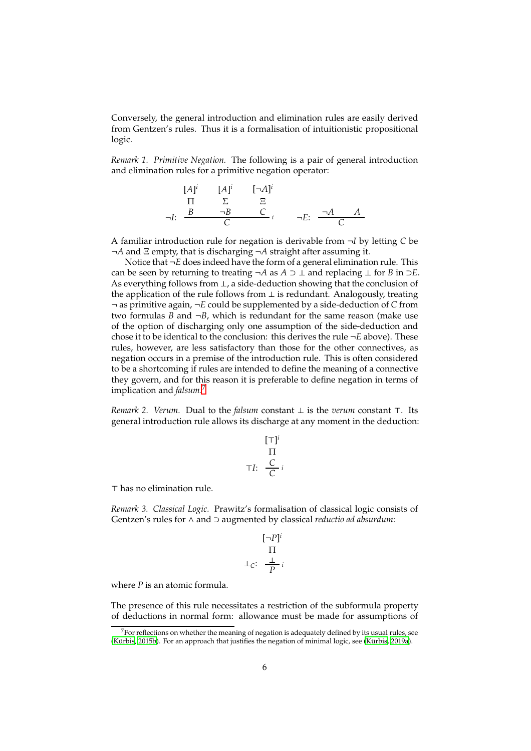Conversely, the general introduction and elimination rules are easily derived from Gentzen's rules. Thus it is a formalisation of intuitionistic propositional logic.

*Remark 1. Primitive Negation.* The following is a pair of general introduction and elimination rules for a primitive negation operator:

$$
[A]^{i} \qquad [A]^{i} \qquad [-A]^{i}
$$
  
\n
$$
\Pi \qquad \Sigma \qquad \Xi
$$
  
\n
$$
\neg I: \qquad \frac{B \qquad \neg B \qquad C}{C} \qquad i \qquad \neg E: \qquad \frac{\neg A \qquad A}{C}
$$

A familiar introduction rule for negation is derivable from ¬*I* by letting *C* be ¬*A* and Ξ empty, that is discharging ¬*A* straight after assuming it.

Notice that ¬*E* does indeed have the form of a general elimination rule. This can be seen by returning to treating ¬*A* as *A* ⊃ ⊥ and replacing ⊥ for *B* in ⊃*E*. As everything follows from ⊥, a side-deduction showing that the conclusion of the application of the rule follows from  $\perp$  is redundant. Analogously, treating ¬ as primitive again, ¬*E* could be supplemented by a side-deduction of *C* from two formulas  $B$  and  $\neg B$ , which is redundant for the same reason (make use of the option of discharging only one assumption of the side-deduction and chose it to be identical to the conclusion: this derives the rule ¬*E* above). These rules, however, are less satisfactory than those for the other connectives, as negation occurs in a premise of the introduction rule. This is often considered to be a shortcoming if rules are intended to define the meaning of a connective they govern, and for this reason it is preferable to define negation in terms of implication and *falsum*. [7](#page-5-0)

*Remark 2. Verum.* Dual to the *falsum* constant ⊥ is the *verum* constant ⊤. Its general introduction rule allows its discharge at any moment in the deduction:

$$
\begin{array}{c}\n[\top]^i \\
\qquad \Pi \\
\top I: \quad \frac{C}{C}i\n\end{array}
$$

⊤ has no elimination rule.

*Remark 3. Classical Logic.* Prawitz's formalisation of classical logic consists of Gentzen's rules for ∧ and ⊃ augmented by classical *reductio ad absurdum*:

$$
\begin{array}{c}\n[-P]^i \\
\Pi \\
\perp_C: \frac{\perp}{p}i\n\end{array}
$$

where *P* is an atomic formula.

The presence of this rule necessitates a restriction of the subformula property of deductions in normal form: allowance must be made for assumptions of

<span id="page-5-0"></span> $7$  For reflections on whether the meaning of negation is adequately defined by its usual rules, see  $(K$  urbis, [2015b](#page-24-17)). For an approach that justifies the negation of minimal logic, see  $(K$  urbis, [2019a](#page-24-18)).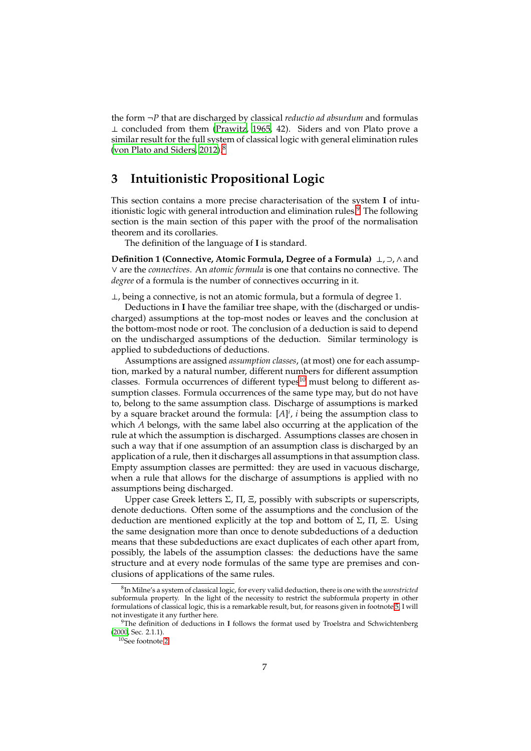the form ¬*P* that are discharged by classical *reductio ad absurdum* and formulas ⊥ concluded from them [\(Prawitz](#page-24-0), [1965,](#page-24-0) 42). Siders and von Plato prove a similar result for the full system of classical logic with general elimination rules [\(von Plato and Siders, 2012\)](#page-24-19).<sup>[8](#page-6-0)</sup>

### **3 Intuitionistic Propositional Logic**

This section contains a more precise characterisation of the system **I** of intuitionistic logic with general introduction and elimination rules. $9$  The following section is the main section of this paper with the proof of the normalisation theorem and its corollaries.

The definition of the language of **I** is standard.

**Definition 1 (Connective, Atomic Formula, Degree of a Formula)** ⊥, ⊃,∧and ∨ are the *connectives*. An *atomic formula* is one that contains no connective. The *degree* of a formula is the number of connectives occurring in it.

⊥, being a connective, is not an atomic formula, but a formula of degree 1.

Deductions in **I** have the familiar tree shape, with the (discharged or undischarged) assumptions at the top-most nodes or leaves and the conclusion at the bottom-most node or root. The conclusion of a deduction is said to depend on the undischarged assumptions of the deduction. Similar terminology is applied to subdeductions of deductions.

Assumptions are assigned *assumption classes*, (at most) one for each assumption, marked by a natural number, different numbers for different assumption classes. Formula occurrences of different types $^{10}$  $^{10}$  $^{10}$  must belong to different assumption classes. Formula occurrences of the same type may, but do not have to, belong to the same assumption class. Discharge of assumptions is marked by a square bracket around the formula: [*A*] *i* , *i* being the assumption class to which *A* belongs, with the same label also occurring at the application of the rule at which the assumption is discharged. Assumptions classes are chosen in such a way that if one assumption of an assumption class is discharged by an application of a rule, then it discharges all assumptions in that assumption class. Empty assumption classes are permitted: they are used in vacuous discharge, when a rule that allows for the discharge of assumptions is applied with no assumptions being discharged.

Upper case Greek letters  $\Sigma$ ,  $\Pi$ ,  $\Sigma$ , possibly with subscripts or superscripts, denote deductions. Often some of the assumptions and the conclusion of the deduction are mentioned explicitly at the top and bottom of Σ, Π, Ξ. Using the same designation more than once to denote subdeductions of a deduction means that these subdeductions are exact duplicates of each other apart from, possibly, the labels of the assumption classes: the deductions have the same structure and at every node formulas of the same type are premises and conclusions of applications of the same rules.

<span id="page-6-3"></span><span id="page-6-0"></span><sup>8</sup> In Milne's a system of classical logic, for every valid deduction, there is one with the *unrestricted* subformula property. In the light of the necessity to restrict the subformula property in other formulations of classical logic, this is a remarkable result, but, for reasons given in footnote [5,](#page-4-0) I will not investigate it any further here.

<sup>9</sup>The definition of deductions in **I** follows the format used by Troelstra and Schwichtenberg [\(2000](#page-24-20), Sec. 2.1.1).

<span id="page-6-2"></span><span id="page-6-1"></span><sup>10</sup>See footnote [2.](#page-1-0)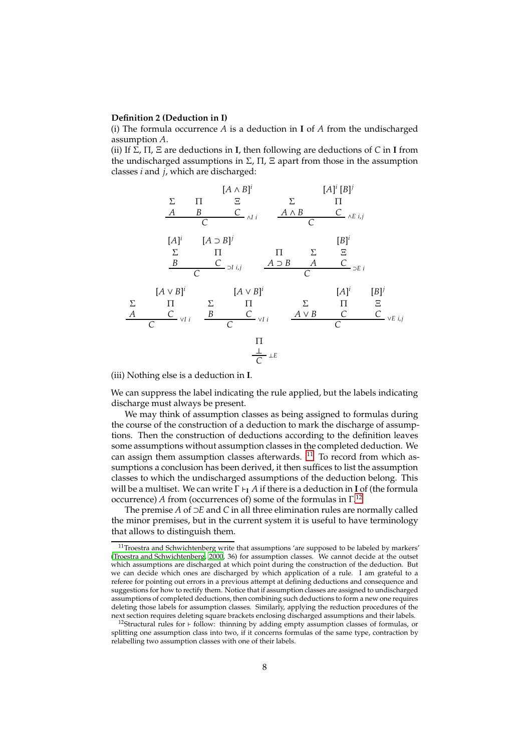#### **Definition 2 (Deduction in I)**

(i) The formula occurrence *A* is a deduction in **I** of *A* from the undischarged assumption *A*.

(ii) If Σ, Π, Ξ are deductions in **I**, then following are deductions of *C* in **I** from the undischarged assumptions in  $\Sigma$ ,  $\Pi$ ,  $\Sigma$  apart from those in the assumption classes *i* and *j*, which are discharged:



(iii) Nothing else is a deduction in **I**.

We can suppress the label indicating the rule applied, but the labels indicating discharge must always be present.

We may think of assumption classes as being assigned to formulas during the course of the construction of a deduction to mark the discharge of assumptions. Then the construction of deductions according to the definition leaves some assumptions without assumption classes in the completed deduction. We can assign them assumption classes afterwards.  $11$  To record from which assumptions a conclusion has been derived, it then suffices to list the assumption classes to which the undischarged assumptions of the deduction belong. This will be a multiset. We can write Γ ⊢**<sup>I</sup>** *A* if there is a deduction in **I** of (the formula occurrence) *A* from (occurrences of) some of the formulas in Γ. [12](#page-7-1)

The premise *A* of ⊃*E* and *C* in all three elimination rules are normally called the minor premises, but in the current system it is useful to have terminology that allows to distinguish them.

<span id="page-7-0"></span> $11$ Troestra and Schwichtenberg write that assumptions 'are supposed to be labeled by markers' [\(Troestra and Schwichtenberg](#page-24-20), [2000](#page-24-20), 36) for assumption classes. We cannot decide at the outset which assumptions are discharged at which point during the construction of the deduction. But we can decide which ones are discharged by which application of a rule. I am grateful to a referee for pointing out errors in a previous attempt at defining deductions and consequence and suggestions for how to rectify them. Notice that if assumption classes are assigned to undischarged assumptions of completed deductions, then combining such deductions to form a new one requires deleting those labels for assumption classes. Similarly, applying the reduction procedures of the next section requires deleting square brackets enclosing discharged assumptions and their labels.

<span id="page-7-1"></span><sup>12</sup>Structural rules for ⊢ follow: thinning by adding empty assumption classes of formulas, or splitting one assumption class into two, if it concerns formulas of the same type, contraction by relabelling two assumption classes with one of their labels.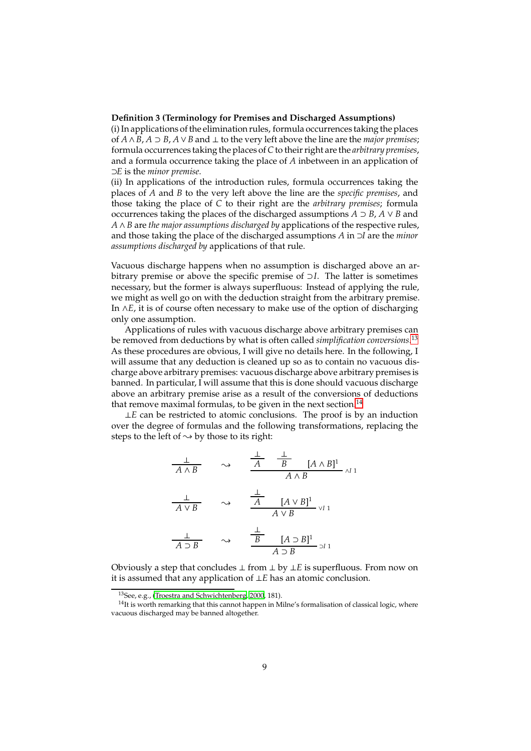### **Definition 3 (Terminology for Premises and Discharged Assumptions)**

(i) In applications of the elimination rules, formula occurrences taking the places of *A* ∧*B*, *A* ⊃ *B*, *A* ∨*B* and ⊥ to the very left above the line are the *major premises*; formula occurrences taking the places of *C*to their right are the *arbitrary premises*, and a formula occurrence taking the place of *A* inbetween in an application of ⊃*E* is the *minor premise*.

(ii) In applications of the introduction rules, formula occurrences taking the places of *A* and *B* to the very left above the line are the *specific premises*, and those taking the place of *C* to their right are the *arbitrary premises*; formula occurrences taking the places of the discharged assumptions  $A \supset B$ ,  $A \vee B$  and *A* ∧*B* are *the major assumptions discharged by* applications of the respective rules, and those taking the place of the discharged assumptions *A* in ⊃*I* are the *minor assumptions discharged by* applications of that rule.

Vacuous discharge happens when no assumption is discharged above an arbitrary premise or above the specific premise of ⊃*I*. The latter is sometimes necessary, but the former is always superfluous: Instead of applying the rule, we might as well go on with the deduction straight from the arbitrary premise. In ∧*E*, it is of course often necessary to make use of the option of discharging only one assumption.

Applications of rules with vacuous discharge above arbitrary premises can be removed from deductions by what is often called *simplification conversions*. [13](#page-8-0) As these procedures are obvious, I will give no details here. In the following, I will assume that any deduction is cleaned up so as to contain no vacuous discharge above arbitrary premises: vacuous discharge above arbitrary premises is banned. In particular, I will assume that this is done should vacuous discharge above an arbitrary premise arise as a result of the conversions of deductions that remove maximal formulas, to be given in the next section.<sup>[14](#page-8-1)</sup>

⊥*E* can be restricted to atomic conclusions. The proof is by an induction over the degree of formulas and the following transformations, replacing the steps to the left of  $\sim$  by those to its right:

$$
\frac{\perp}{A \land B} \qquad \leadsto \qquad \frac{\frac{\perp}{A} \quad \frac{\perp}{B} \quad [A \land B]^1}{A \land B} \land I1
$$
\n
$$
\frac{\perp}{A \lor B} \qquad \leadsto \qquad \frac{\frac{\perp}{A} \quad [A \lor B]^1}{A \lor B} \lor I1
$$
\n
$$
\frac{\perp}{A \supset B} \qquad \leadsto \qquad \frac{\frac{\perp}{B} \quad [A \supset B]^1}{A \supset B} \lor I1
$$

Obviously a step that concludes ⊥ from ⊥ by ⊥*E* is superfluous. From now on it is assumed that any application of ⊥*E* has an atomic conclusion.

<span id="page-8-0"></span><sup>13</sup>See, e.g., [\(Troestra and Schwichtenberg](#page-24-20), [2000,](#page-24-20) 181).

<span id="page-8-1"></span><sup>&</sup>lt;sup>14</sup>It is worth remarking that this cannot happen in Milne's formalisation of classical logic, where vacuous discharged may be banned altogether.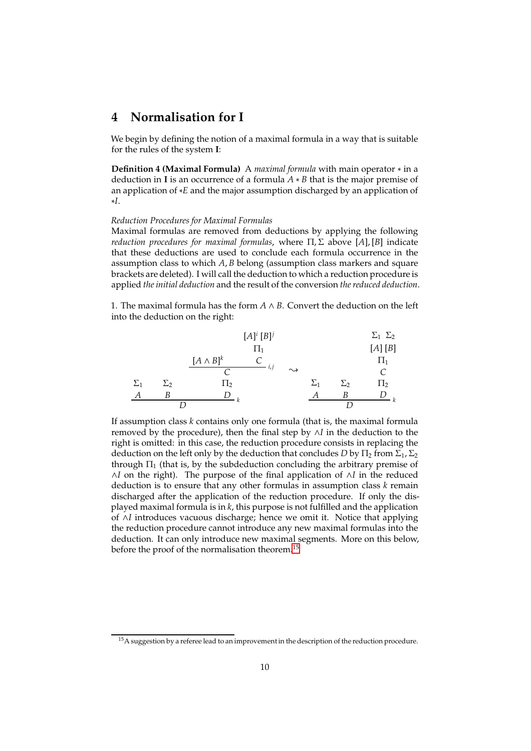### **4 Normalisation for I**

<span id="page-9-0"></span>We begin by defining the notion of a maximal formula in a way that is suitable for the rules of the system **I**:

**Definition 4 (Maximal Formula)** A *maximal formula* with main operator ∗ in a deduction in **I** is an occurrence of a formula *A* ∗ *B* that is the major premise of an application of ∗*E* and the major assumption discharged by an application of ∗*I*.

#### *Reduction Procedures for Maximal Formulas*

Maximal formulas are removed from deductions by applying the following *reduction procedures for maximal formulas*, where Π, Σ above [*A*], [*B*] indicate that these deductions are used to conclude each formula occurrence in the assumption class to which *A*, *B* belong (assumption class markers and square brackets are deleted). I will call the deduction to which a reduction procedure is applied *the initial deduction* and the result of the conversion *the reduced deduction*.

1. The maximal formula has the form  $A \wedge B$ . Convert the deduction on the left into the deduction on the right:



If assumption class *k* contains only one formula (that is, the maximal formula removed by the procedure), then the final step by ∧*I* in the deduction to the right is omitted: in this case, the reduction procedure consists in replacing the deduction on the left only by the deduction that concludes *D* by  $\Pi_2$  from  $\Sigma_1$ ,  $\Sigma_2$ through  $\Pi_1$  (that is, by the subdeduction concluding the arbitrary premise of ∧*I* on the right). The purpose of the final application of ∧*I* in the reduced deduction is to ensure that any other formulas in assumption class *k* remain discharged after the application of the reduction procedure. If only the displayed maximal formula is in *k*, this purpose is not fulfilled and the application of ∧*I* introduces vacuous discharge; hence we omit it. Notice that applying the reduction procedure cannot introduce any new maximal formulas into the deduction. It can only introduce new maximal segments. More on this below, before the proof of the normalisation theorem.<sup>[15](#page-9-1)</sup>

<span id="page-9-1"></span> $15A$  suggestion by a referee lead to an improvement in the description of the reduction procedure.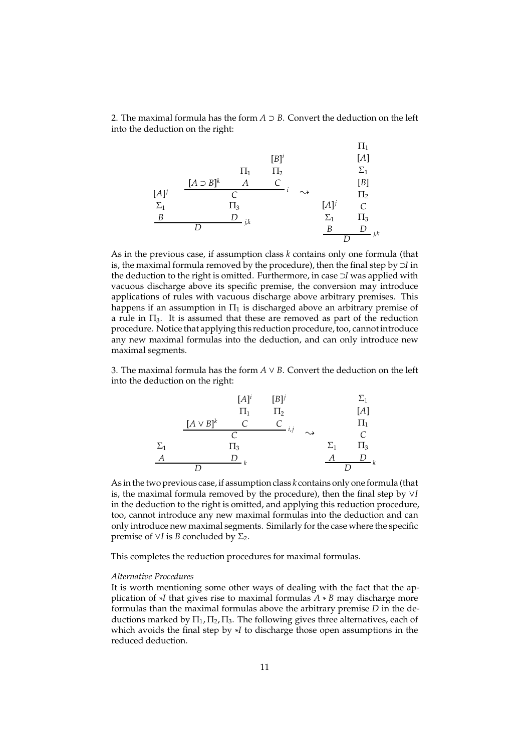2. The maximal formula has the form  $A \supset B$ . Convert the deduction on the left into the deduction on the right:

$$
[B]^{i} \t [A]^{j} \t {111 T2 T1 T2 T1 T2 T1 T2 T1 T2 T1 T2 T1 T2 T1 T2 T1 T2 T1 T2 T1 T2 T1 T2 T1 T2 T1 T2 T1 T2 T1 T2 T1 T2 T1 T2 T1 T2 T1 T2 T1 T2 T1 T2 T1 T2 T1 T2 T1 T2 T1 T2 T1 T2 T1 T2 T1 T2 T2 T2 T2 T2 T2 T2 T2 T2 T2 T2 T2 T2 T2 T2 T2 T2 T2 T2 T2 T2 T2 T2 T2 T2 T2 T2 T2 T2 T2 T2 T2 T2 T2 T2 T2
$$

As in the previous case, if assumption class *k* contains only one formula (that is, the maximal formula removed by the procedure), then the final step by ⊃*I* in the deduction to the right is omitted. Furthermore, in case ⊃*I* was applied with vacuous discharge above its specific premise, the conversion may introduce applications of rules with vacuous discharge above arbitrary premises. This happens if an assumption in  $\Pi_1$  is discharged above an arbitrary premise of a rule in Π3. It is assumed that these are removed as part of the reduction procedure. Notice that applying this reduction procedure, too, cannot introduce any new maximal formulas into the deduction, and can only introduce new maximal segments.

3. The maximal formula has the form  $A \vee B$ . Convert the deduction on the left into the deduction on the right:

Σ1 *A* [*A* ∨ *B*] *k* [*A*] *i* Π1 *C* [*B*] *j* Π2 *C i*,*j C* Π3 *D <sup>k</sup> D* { Σ1 *A* Σ1 [*A*] Π1 *C* Π3 *D <sup>k</sup> D*

As in the two previous case, if assumption class *k* contains only one formula (that is, the maximal formula removed by the procedure), then the final step by ∨*I* in the deduction to the right is omitted, and applying this reduction procedure, too, cannot introduce any new maximal formulas into the deduction and can only introduce new maximal segments. Similarly for the case where the specific premise of ∨*I* is *B* concluded by  $\Sigma_2$ .

This completes the reduction procedures for maximal formulas.

#### *Alternative Procedures*

It is worth mentioning some other ways of dealing with the fact that the application of ∗*I* that gives rise to maximal formulas *A* ∗ *B* may discharge more formulas than the maximal formulas above the arbitrary premise *D* in the deductions marked by  $\Pi_1$ ,  $\Pi_2$ ,  $\Pi_3$ . The following gives three alternatives, each of which avoids the final step by ∗*I* to discharge those open assumptions in the reduced deduction.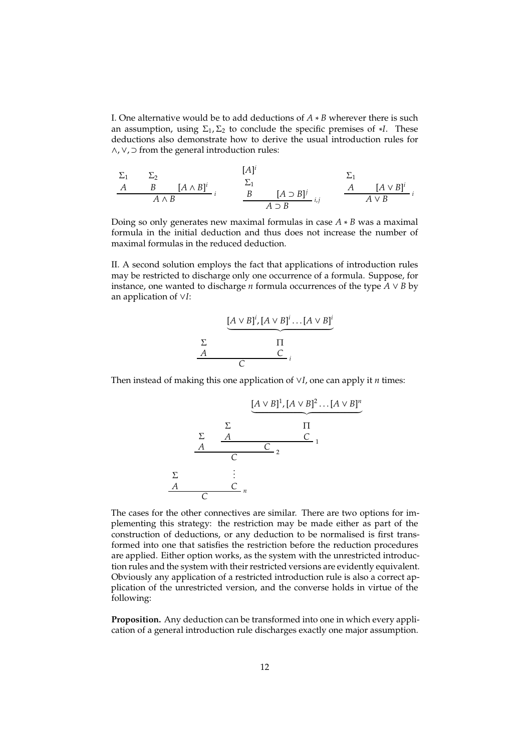I. One alternative would be to add deductions of *A* ∗ *B* wherever there is such an assumption, using  $\Sigma_1$ ,  $\Sigma_2$  to conclude the specific premises of  $*I$ . These deductions also demonstrate how to derive the usual introduction rules for ∧,∨, ⊃ from the general introduction rules:

$$
\begin{array}{ccc}\n\Sigma_1 & \Sigma_2 & [A \wedge B]^i \\
\hline\nA & B & [A \wedge B]^i \\
\hline\nA \wedge B & i & B \\
\hline\nB & A \supset B & i, j & A \vee B \\
\hline\nB & A \supset B & i, j & A \vee B \\
\hline\nC_1 & 0 & 0 & 0 \\
\hline\nC_2 & 0 & 0 & 0 \\
\hline\nC_3 & 0 & 0 & 0 \\
\hline\nC_4 & 0 & 0 & 0 \\
\hline\nC_5 & 0 & 0 & 0 \\
\hline\nC_6 & 0 & 0 & 0 \\
\hline\nC_7 & 0 & 0 & 0 \\
\hline\nC_8 & 0 & 0 & 0 \\
\hline\nC_9 & 0 & 0 & 0 \\
\hline\nC_1 & 0 & 0 & 0 \\
\hline\nC_1 & 0 & 0 & 0 \\
\hline\nC_2 & 0 & 0 & 0 \\
\hline\nC_3 & 0 & 0 & 0 \\
\hline\nC_4 & 0 & 0 & 0 \\
\hline\nC_5 & 0 & 0 & 0 \\
\hline\nC_7 & 0 & 0 & 0 \\
\hline\nC_8 & 0 & 0 & 0 \\
\hline\nC_9 & 0 & 0 & 0 \\
\hline\nC_1 & 0 & 0 & 0 \\
\hline\nC_1 & 0 & 0 & 0 \\
\hline\nC_2 & 0 & 0 & 0 \\
\hline\nC_3 & 0 & 0 & 0 \\
\hline\nC_4 & 0 & 0 & 0 \\
\hline\nC_5 & 0 & 0 & 0 \\
\hline\nC_7 & 0 & 0 & 0 \\
\hline\nC_8 & 0 & 0 & 0 \\
\hline\nC_9 & 0 & 0 & 0 \\
\hline\nC_1 & 0 &
$$

Doing so only generates new maximal formulas in case *A* ∗ *B* was a maximal formula in the initial deduction and thus does not increase the number of maximal formulas in the reduced deduction.

II. A second solution employs the fact that applications of introduction rules may be restricted to discharge only one occurrence of a formula. Suppose, for instance, one wanted to discharge *n* formula occurrences of the type  $\overline{A} \vee B$  by an application of ∨*I*:

$$
\begin{array}{c}\n\sum \text{A} \vee B \text{I}^i, [A \vee B] \text{I}^i \dots [A \vee B] \text{I}^i \\
\sum \text{I} \qquad \qquad \text{T} \\
\hline\n\text{C}\n\end{array}
$$

Then instead of making this one application of ∨*I*, one can apply it *n* times:

$$
\underbrace{[A \vee B]^1, [A \vee B]^2 \dots [A \vee B]^n}_{\Sigma}
$$
\n
$$
\Sigma
$$
\n
$$
\begin{array}{c}\n\Sigma \\
A \\
C \\
\vdots \\
C \\
n\n\end{array}
$$
\n
$$
\Sigma
$$
\n
$$
\Sigma
$$
\n
$$
\vdots
$$
\n
$$
\Sigma
$$
\n
$$
\vdots
$$
\n
$$
\vdots
$$
\n
$$
\vdots
$$
\n
$$
\vdots
$$
\n
$$
\vdots
$$
\n
$$
\vdots
$$
\n
$$
\vdots
$$
\n
$$
\vdots
$$
\n
$$
\vdots
$$
\n
$$
\vdots
$$
\n
$$
\vdots
$$
\n
$$
\vdots
$$
\n
$$
\vdots
$$
\n
$$
\vdots
$$

The cases for the other connectives are similar. There are two options for implementing this strategy: the restriction may be made either as part of the construction of deductions, or any deduction to be normalised is first transformed into one that satisfies the restriction before the reduction procedures are applied. Either option works, as the system with the unrestricted introduction rules and the system with their restricted versions are evidently equivalent. Obviously any application of a restricted introduction rule is also a correct application of the unrestricted version, and the converse holds in virtue of the following:

**Proposition.** Any deduction can be transformed into one in which every application of a general introduction rule discharges exactly one major assumption.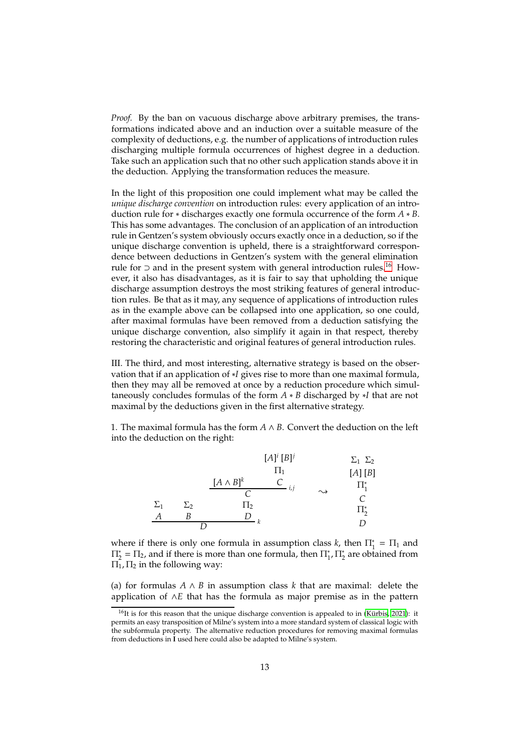*Proof.* By the ban on vacuous discharge above arbitrary premises, the transformations indicated above and an induction over a suitable measure of the complexity of deductions, e.g. the number of applications of introduction rules discharging multiple formula occurrences of highest degree in a deduction. Take such an application such that no other such application stands above it in the deduction. Applying the transformation reduces the measure.

In the light of this proposition one could implement what may be called the *unique discharge convention* on introduction rules: every application of an introduction rule for ∗ discharges exactly one formula occurrence of the form *A* ∗ *B*. This has some advantages. The conclusion of an application of an introduction rule in Gentzen's system obviously occurs exactly once in a deduction, so if the unique discharge convention is upheld, there is a straightforward correspondence between deductions in Gentzen's system with the general elimination rule for ⊃ and in the present system with general introduction rules.<sup>[16](#page-12-0)</sup> However, it also has disadvantages, as it is fair to say that upholding the unique discharge assumption destroys the most striking features of general introduction rules. Be that as it may, any sequence of applications of introduction rules as in the example above can be collapsed into one application, so one could, after maximal formulas have been removed from a deduction satisfying the unique discharge convention, also simplify it again in that respect, thereby restoring the characteristic and original features of general introduction rules.

III. The third, and most interesting, alternative strategy is based on the observation that if an application of ∗*I* gives rise to more than one maximal formula, then they may all be removed at once by a reduction procedure which simultaneously concludes formulas of the form *A* ∗ *B* discharged by ∗*I* that are not maximal by the deductions given in the first alternative strategy.

1. The maximal formula has the form  $A \wedge B$ . Convert the deduction on the left into the deduction on the right:

|            |            |                  | $[A]^{i} [B]^{j}$ |                    | $\Sigma_1$ $\Sigma_2$ |
|------------|------------|------------------|-------------------|--------------------|-----------------------|
|            |            |                  | $\Pi_1$           |                    | [A][B]                |
|            |            | $[A \wedge B]^k$ | i, j              |                    | $\Pi^*_1$             |
|            |            |                  |                   | $\rightsquigarrow$ | C                     |
| $\Sigma_1$ | $\Sigma$ 2 | $\Pi_2$          |                   |                    | $\Pi^*_{2}$           |
|            | В          |                  |                   |                    |                       |
|            |            |                  |                   |                    | I)                    |

where if there is only one formula in assumption class *k*, then  $\Pi_1^* = \Pi_1$  and  $\Pi_2^* = \Pi_2$ , and if there is more than one formula, then  $\Pi_1^*, \Pi_2^*$  are obtained from  $\Pi_1$ ,  $\Pi_2$  in the following way:

(a) for formulas  $A \wedge B$  in assumption class k that are maximal: delete the application of ∧*E* that has the formula as major premise as in the pattern

<span id="page-12-0"></span><sup>&</sup>lt;sup>16</sup>It is for this reason that the unique discharge convention is appealed to in (Kürbis, [2021\)](#page-24-14): it permits an easy transposition of Milne's system into a more standard system of classical logic with the subformula property. The alternative reduction procedures for removing maximal formulas from deductions in **I** used here could also be adapted to Milne's system.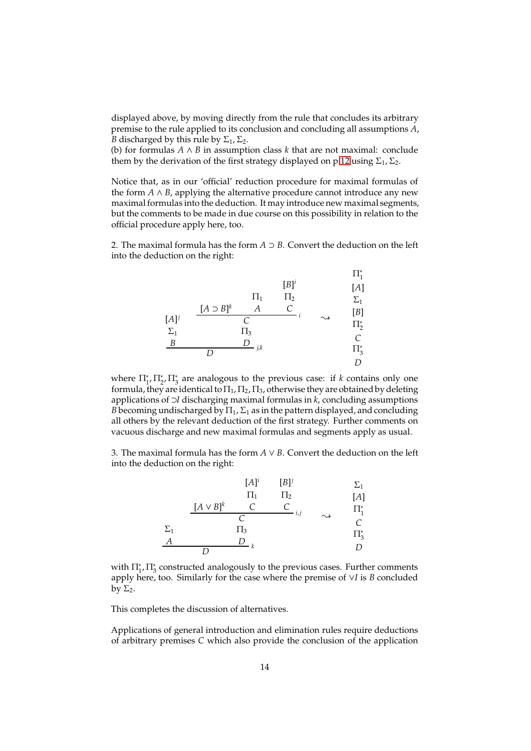displayed above, by moving directly from the rule that concludes its arbitrary premise to the rule applied to its conclusion and concluding all assumptions *A*, *B* discharged by this rule by  $\Sigma_1$ ,  $\Sigma_2$ .

(b) for formulas *A* ∧ *B* in assumption class *k* that are not maximal: conclude them by the derivation of the first strategy displayed on p[.12](#page-9-0) using  $\Sigma_1$ ,  $\Sigma_2$ .

Notice that, as in our 'official' reduction procedure for maximal formulas of the form  $A \wedge B$ , applying the alternative procedure cannot introduce any new maximal formulas into the deduction. It may introduce new maximal segments, but the comments to be made in due course on this possibility in relation to the official procedure apply here, too.

2. The maximal formula has the form  $A \supset B$ . Convert the deduction on the left into the deduction on the right:

[*A*] *j* Σ1 *B* [*A* ⊃ *B*] *k* Π1 *A* [*B*] *i* Π2 *C i C* Π3 *D <sup>j</sup>*,*<sup>k</sup> D* { Π<sup>∗</sup> 1 [*A*] Σ1 [*B*] Π<sup>∗</sup> 2 *C* Π<sup>∗</sup> 3 *D*

where  $\prod_{1}^{*}$ ,  $\prod_{2}^{*}$ ,  $\prod_{3}^{*}$  are analogous to the previous case: if *k* contains only one formula, they are identical to  $\Pi_1$ ,  $\Pi_2$ ,  $\Pi_3$ , otherwise they are obtained by deleting applications of ⊃*I* discharging maximal formulas in *k*, concluding assumptions *B* becoming undischarged by  $\Pi_1$ ,  $\Sigma_1$  as in the pattern displayed, and concluding all others by the relevant deduction of the first strategy. Further comments on vacuous discharge and new maximal formulas and segments apply as usual.

3. The maximal formula has the form  $A \vee B$ . Convert the deduction on the left into the deduction on the right:



with  $\Pi_{1}^{*}$ ,  $\Pi_{3}^{*}$  constructed analogously to the previous cases. Further comments apply here, too. Similarly for the case where the premise of ∨*I* is *B* concluded by  $\Sigma_2$ .

This completes the discussion of alternatives.

Applications of general introduction and elimination rules require deductions of arbitrary premises *C* which also provide the conclusion of the application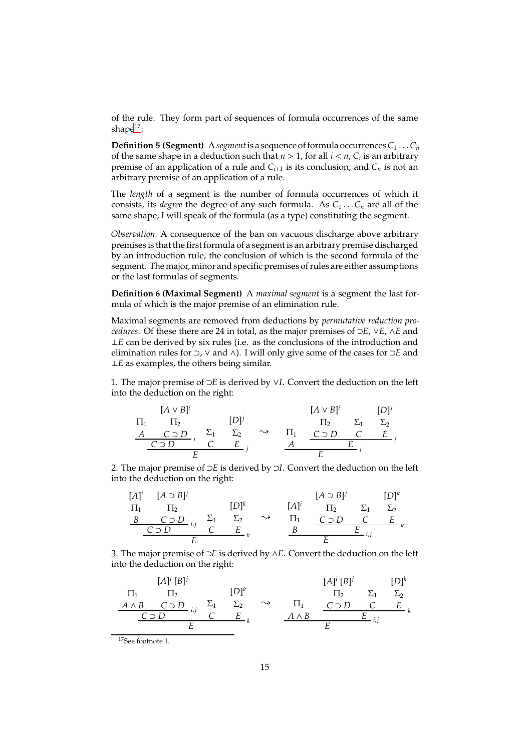of the rule. They form part of sequences of formula occurrences of the same shape<sup>[17](#page-14-0)</sup>:

**Definition 5 (Segment)** A *segment* is a sequence of formula occurrences  $C_1 \ldots C_n$ of the same shape in a deduction such that  $n > 1$ , for all  $i < n$ ,  $C_i$  is an arbitrary premise of an application of a rule and  $C_{i+1}$  is its conclusion, and  $C_n$  is not an arbitrary premise of an application of a rule.

The *length* of a segment is the number of formula occurrences of which it consists, its *degree* the degree of any such formula. As  $C_1 \ldots C_n$  are all of the same shape, I will speak of the formula (as a type) constituting the segment.

*Observation.* A consequence of the ban on vacuous discharge above arbitrary premises is that the first formula of a segment is an arbitrary premise discharged by an introduction rule, the conclusion of which is the second formula of the segment. The major, minor and specific premises of rules are either assumptions or the last formulas of segments.

**Definition 6 (Maximal Segment)** A *maximal segment* is a segment the last formula of which is the major premise of an elimination rule.

Maximal segments are removed from deductions by *permutative reduction procedures*. Of these there are 24 in total, as the major premises of ⊃*E*, ∨*E*, ∧*E* and ⊥*E* can be derived by six rules (i.e. as the conclusions of the introduction and elimination rules for ⊃, ∨ and ∧). I will only give some of the cases for ⊃*E* and ⊥*E* as examples, the others being similar.

1. The major premise of ⊃*E* is derived by ∨*I*. Convert the deduction on the left into the deduction on the right:

$$
\begin{array}{ccc}\n[A \vee B]^i & [A \vee B]^i & [D]^j \\
\Pi_1 & \Pi_2 & [D]^j & \Pi_2 & \Sigma_1 & \Sigma_2 \\
\underline{A & C \supset D} & i & \Sigma_1 & \Sigma_2 & \longrightarrow & \Pi_1 & C \supset D & C & E \\
\underline{C \supset D} & E & j & \underline{A} & E & i \\
\end{array}
$$

2. The major premise of ⊃*E* is derived by ⊃*I*. Convert the deduction on the left into the deduction on the right:

$$
[A]^{i} \quad [A \supset B]^{j} \qquad \qquad [D]^{k} \qquad \qquad [A]^{i} \quad \qquad [D]^{k} \qquad \qquad [D]^{k}
$$
\n
$$
\begin{array}{c|cccc}\nB & C \supset D & i,j & \sum_{1} & \sum_{2} & \sim & \prod_{1} & C \supset D & C & E \\
\hline\nE & E & E & E & E & E\n\end{array}
$$

3. The major premise of ⊃*E* is derived by ∧*E*. Convert the deduction on the left into the deduction on the right:

Π1 *A* ∧ *B* [*A*] *i* [*B*] *j* Π2 *C* ⊃ *D <sup>i</sup>*,*<sup>j</sup> C* ⊃ *D* Σ1 *C* [*D*] *k* Σ2 *E k E* { <sup>Π</sup><sup>1</sup> *A* ∧ *B* [*A*] *i* [*B*] *j* Π2 *C* ⊃ *D* Σ1 *C* [*D*] *k* Σ2 *E k E <sup>i</sup>*,*<sup>j</sup> E*

<span id="page-14-0"></span> $17$ See footnote 1.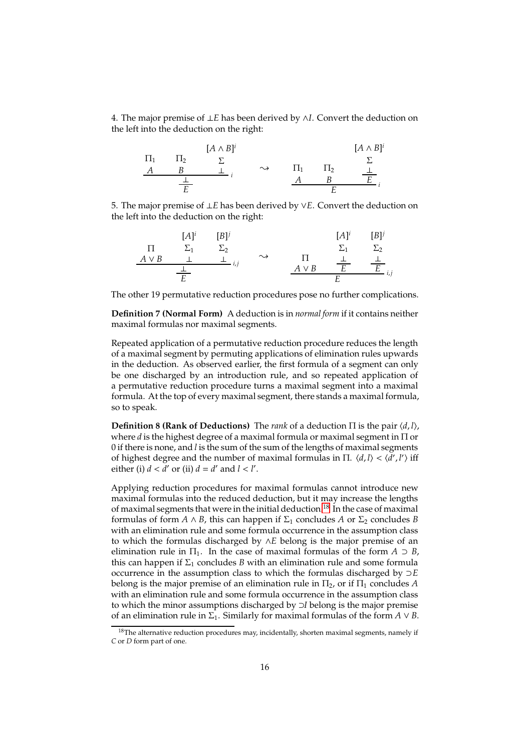4. The major premise of ⊥*E* has been derived by ∧*I*. Convert the deduction on the left into the deduction on the right:

|         |         | $[A \wedge B]^i$ |                    |                 |         | $[A \wedge B]^i$ |
|---------|---------|------------------|--------------------|-----------------|---------|------------------|
| $\Pi_1$ | $\Pi_2$ |                  |                    |                 |         |                  |
|         |         |                  | $\rightsquigarrow$ | 11 <sub>1</sub> | $\Pi_2$ |                  |
|         |         |                  |                    |                 |         | $\mathbf{r}$     |
|         |         |                  |                    |                 |         |                  |

5. The major premise of ⊥*E* has been derived by ∨*E*. Convert the deduction on the left into the deduction on the right:

$$
\begin{array}{cccc}\n[A]^i & [B]^j & [A]^i & [B]^j \\
\Pi & \Sigma_1 & \Sigma_2 & \Sigma_1 & \Sigma_2 \\
\hline\nA \vee B & \bot & \bot & \vdots \\
\hline\nE & & & & A \vee B & \overline{E} & \overline{E} \\
\end{array}
$$

The other 19 permutative reduction procedures pose no further complications.

**Definition 7 (Normal Form)** A deduction is in *normal form* if it contains neither maximal formulas nor maximal segments.

Repeated application of a permutative reduction procedure reduces the length of a maximal segment by permuting applications of elimination rules upwards in the deduction. As observed earlier, the first formula of a segment can only be one discharged by an introduction rule, and so repeated application of a permutative reduction procedure turns a maximal segment into a maximal formula. At the top of every maximal segment, there stands a maximal formula, so to speak.

**Definition 8 (Rank of Deductions)** The *rank* of a deduction  $\Pi$  is the pair  $\langle d, l \rangle$ , where *d* is the highest degree of a maximal formula or maximal segment in Π or 0 if there is none, and *l* is the sum of the sum of the lengths of maximal segments of highest degree and the number of maximal formulas in  $\Pi$ .  $\langle d, l \rangle < \langle d', l' \rangle$  iff either (i)  $d < d'$  or (ii)  $d = d'$  and  $l < l'$ .

Applying reduction procedures for maximal formulas cannot introduce new maximal formulas into the reduced deduction, but it may increase the lengths of maximal segments that were in the initial deduction.<sup>[18](#page-15-0)</sup> In the case of maximal formulas of form  $A \wedge B$ , this can happen if  $\Sigma_1$  concludes  $A$  or  $\Sigma_2$  concludes  $B$ with an elimination rule and some formula occurrence in the assumption class to which the formulas discharged by ∧*E* belong is the major premise of an elimination rule in  $\Pi_1$ . In the case of maximal formulas of the form  $A \supset B$ , this can happen if  $\Sigma_1$  concludes *B* with an elimination rule and some formula occurrence in the assumption class to which the formulas discharged by ⊃*E* belong is the major premise of an elimination rule in  $\Pi_2$ , or if  $\Pi_1$  concludes A with an elimination rule and some formula occurrence in the assumption class to which the minor assumptions discharged by ⊃*I* belong is the major premise of an elimination rule in  $\Sigma_1$ . Similarly for maximal formulas of the form  $A \vee B$ .

<span id="page-15-0"></span> $18$ The alternative reduction procedures may, incidentally, shorten maximal segments, namely if *C* or *D* form part of one.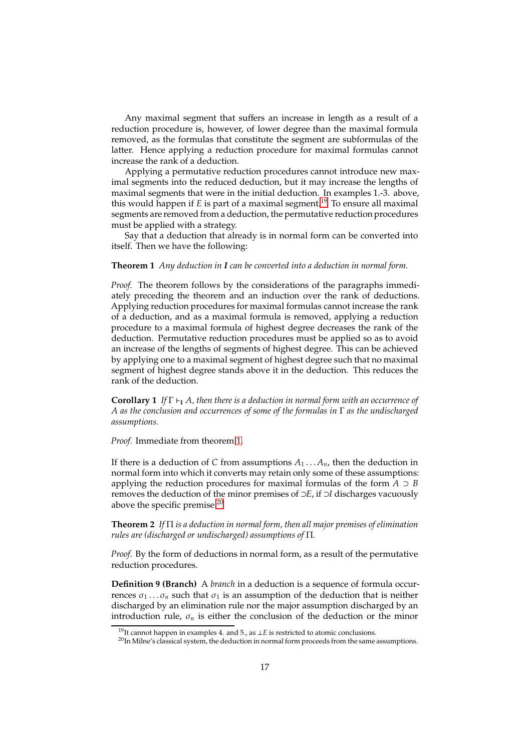Any maximal segment that suffers an increase in length as a result of a reduction procedure is, however, of lower degree than the maximal formula removed, as the formulas that constitute the segment are subformulas of the latter. Hence applying a reduction procedure for maximal formulas cannot increase the rank of a deduction.

Applying a permutative reduction procedures cannot introduce new maximal segments into the reduced deduction, but it may increase the lengths of maximal segments that were in the initial deduction. In examples 1.-3. above, this would happen if *E* is part of a maximal segment.<sup>[19](#page-16-0)</sup> To ensure all maximal segments are removed from a deduction, the permutative reduction procedures must be applied with a strategy.

<span id="page-16-1"></span>Say that a deduction that already is in normal form can be converted into itself. Then we have the following:

#### **Theorem 1** *Any deduction in I can be converted into a deduction in normal form.*

*Proof.* The theorem follows by the considerations of the paragraphs immediately preceding the theorem and an induction over the rank of deductions. Applying reduction procedures for maximal formulas cannot increase the rank of a deduction, and as a maximal formula is removed, applying a reduction procedure to a maximal formula of highest degree decreases the rank of the deduction. Permutative reduction procedures must be applied so as to avoid an increase of the lengths of segments of highest degree. This can be achieved by applying one to a maximal segment of highest degree such that no maximal segment of highest degree stands above it in the deduction. This reduces the rank of the deduction.

**Corollary 1** *If* Γ ⊢**<sup>I</sup>** *A, then there is a deduction in normal form with an occurrence of A as the conclusion and occurrences of some of the formulas in* Γ *as the undischarged assumptions.*

*Proof.* Immediate from theorem [1.](#page-16-1)

If there is a deduction of *C* from assumptions  $A_1 \ldots A_n$ , then the deduction in normal form into which it converts may retain only some of these assumptions: applying the reduction procedures for maximal formulas of the form  $A \supset B$ removes the deduction of the minor premises of ⊃*E*, if ⊃*I* discharges vacuously above the specific premise.[20](#page-16-2)

<span id="page-16-3"></span>**Theorem 2** *If* Π *is a deduction in normal form, then all major premises of elimination rules are (discharged or undischarged) assumptions of* Π*.*

*Proof.* By the form of deductions in normal form, as a result of the permutative reduction procedures.

**Definition 9 (Branch)** A *branch* in a deduction is a sequence of formula occurrences  $\sigma_1 \dots \sigma_n$  such that  $\sigma_1$  is an assumption of the deduction that is neither discharged by an elimination rule nor the major assumption discharged by an introduction rule,  $\sigma_n$  is either the conclusion of the deduction or the minor

<sup>&</sup>lt;sup>19</sup>It cannot happen in examples 4. and 5., as ⊥*E* is restricted to atomic conclusions.

<span id="page-16-2"></span><span id="page-16-0"></span> $^{20}$ In Milne's classical system, the deduction in normal form proceeds from the same assumptions.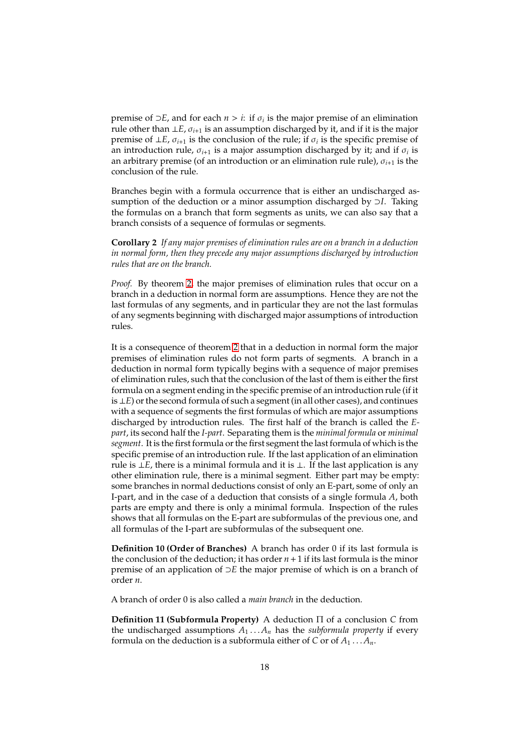premise of  $\supset E$ , and for each  $n > i$ : if  $\sigma_i$  is the major premise of an elimination rule other than  $\bot E$ ,  $\sigma_{i+1}$  is an assumption discharged by it, and if it is the major premise of  $\perp E$ ,  $\sigma_{i+1}$  is the conclusion of the rule; if  $\sigma_i$  is the specific premise of an introduction rule,  $\sigma_{i+1}$  is a major assumption discharged by it; and if  $\sigma_i$  is an arbitrary premise (of an introduction or an elimination rule rule), σ*i*+<sup>1</sup> is the conclusion of the rule.

Branches begin with a formula occurrence that is either an undischarged assumption of the deduction or a minor assumption discharged by ⊃*I*. Taking the formulas on a branch that form segments as units, we can also say that a branch consists of a sequence of formulas or segments.

**Corollary 2** *If any major premises of elimination rules are on a branch in a deduction in normal form, then they precede any major assumptions discharged by introduction rules that are on the branch.*

*Proof.* By theorem [2,](#page-16-3) the major premises of elimination rules that occur on a branch in a deduction in normal form are assumptions. Hence they are not the last formulas of any segments, and in particular they are not the last formulas of any segments beginning with discharged major assumptions of introduction rules.

It is a consequence of theorem [2](#page-16-3) that in a deduction in normal form the major premises of elimination rules do not form parts of segments. A branch in a deduction in normal form typically begins with a sequence of major premises of elimination rules, such that the conclusion of the last of them is either the first formula on a segment ending in the specific premise of an introduction rule (if it is ⊥*E*) or the second formula of such a segment (in all other cases), and continues with a sequence of segments the first formulas of which are major assumptions discharged by introduction rules. The first half of the branch is called the *Epart*, its second half the *I-part*. Separating them is the *minimal formula* or *minimal segment*. It is the first formula or the first segment the last formula of which is the specific premise of an introduction rule. If the last application of an elimination rule is ⊥*E*, there is a minimal formula and it is ⊥. If the last application is any other elimination rule, there is a minimal segment. Either part may be empty: some branches in normal deductions consist of only an E-part, some of only an I-part, and in the case of a deduction that consists of a single formula *A*, both parts are empty and there is only a minimal formula. Inspection of the rules shows that all formulas on the E-part are subformulas of the previous one, and all formulas of the I-part are subformulas of the subsequent one.

**Definition 10 (Order of Branches)** A branch has order 0 if its last formula is the conclusion of the deduction; it has order  $n + 1$  if its last formula is the minor premise of an application of ⊃*E* the major premise of which is on a branch of order *n*.

A branch of order 0 is also called a *main branch* in the deduction.

**Definition 11 (Subformula Property)** A deduction Π of a conclusion *C* from the undischarged assumptions  $A_1 \ldots A_n$  has the *subformula property* if every formula on the deduction is a subformula either of *C* or of  $A_1 \ldots A_n$ .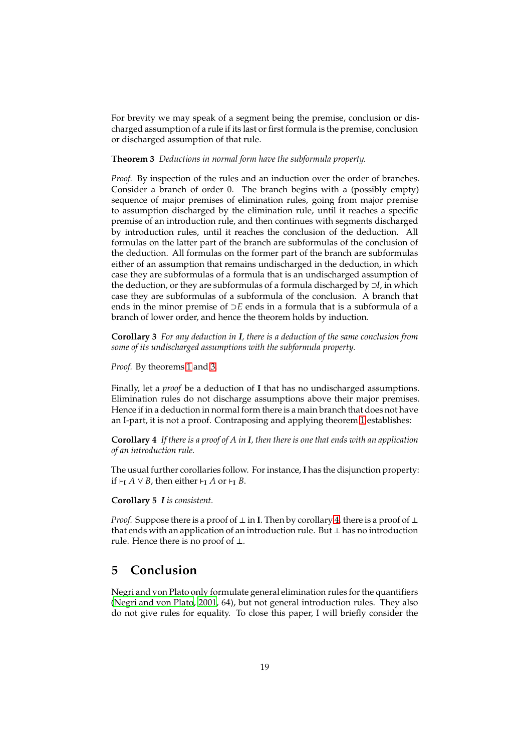For brevity we may speak of a segment being the premise, conclusion or discharged assumption of a rule if its last or first formula is the premise, conclusion or discharged assumption of that rule.

#### <span id="page-18-0"></span>**Theorem 3** *Deductions in normal form have the subformula property.*

*Proof.* By inspection of the rules and an induction over the order of branches. Consider a branch of order 0. The branch begins with a (possibly empty) sequence of major premises of elimination rules, going from major premise to assumption discharged by the elimination rule, until it reaches a specific premise of an introduction rule, and then continues with segments discharged by introduction rules, until it reaches the conclusion of the deduction. All formulas on the latter part of the branch are subformulas of the conclusion of the deduction. All formulas on the former part of the branch are subformulas either of an assumption that remains undischarged in the deduction, in which case they are subformulas of a formula that is an undischarged assumption of the deduction, or they are subformulas of a formula discharged by ⊃*I*, in which case they are subformulas of a subformula of the conclusion. A branch that ends in the minor premise of ⊃*E* ends in a formula that is a subformula of a branch of lower order, and hence the theorem holds by induction.

**Corollary 3** *For any deduction in I, there is a deduction of the same conclusion from some of its undischarged assumptions with the subformula property.*

*Proof.* By theorems [1](#page-16-1) and [3.](#page-18-0)

Finally, let a *proof* be a deduction of **I** that has no undischarged assumptions. Elimination rules do not discharge assumptions above their major premises. Hence if in a deduction in normal form there is a main branch that does not have an I-part, it is not a proof. Contraposing and applying theorem [1](#page-16-1) establishes:

<span id="page-18-1"></span>**Corollary 4** *If there is a proof of A in I, then there is one that ends with an application of an introduction rule.*

The usual further corollaries follow. For instance, **I** has the disjunction property: if ⊢**<sup>I</sup>** *A* ∨ *B*, then either ⊢**<sup>I</sup>** *A* or ⊢**<sup>I</sup>** *B*.

**Corollary 5** *I is consistent.*

*Proof.* Suppose there is a proof of ⊥ in **I**. Then by corollary [4,](#page-18-1) there is a proof of ⊥ that ends with an application of an introduction rule. But ⊥ has no introduction rule. Hence there is no proof of ⊥.

### **5 Conclusion**

Negri and von Plato only formulate general elimination rules for the quantifiers [\(Negri and von Plato, 2001,](#page-24-6) 64), but not general introduction rules. They also do not give rules for equality. To close this paper, I will briefly consider the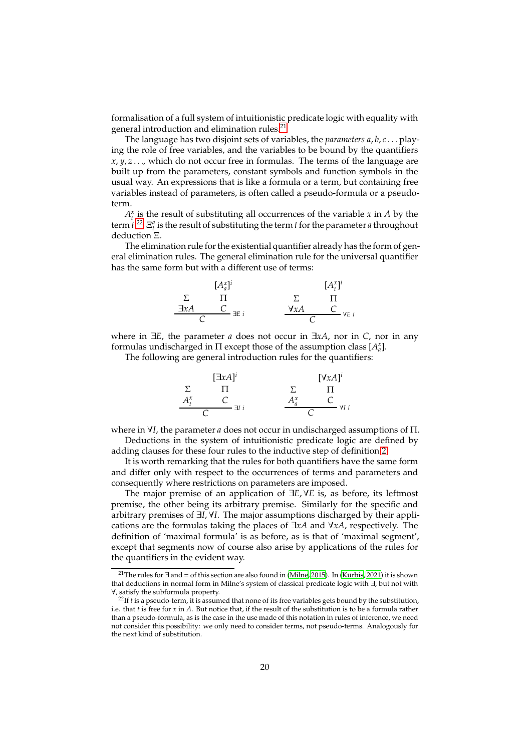formalisation of a full system of intuitionistic predicate logic with equality with general introduction and elimination rules.<sup>[21](#page-19-0)</sup>

The language has two disjoint sets of variables, the *parameters a*, *b*, *c* . . . playing the role of free variables, and the variables to be bound by the quantifiers  $x, y, z, \ldots$ , which do not occur free in formulas. The terms of the language are built up from the parameters, constant symbols and function symbols in the usual way. An expressions that is like a formula or a term, but containing free variables instead of parameters, is often called a pseudo-formula or a pseudoterm.

 $A_t^x$  is the result of substituting all occurrences of the variable *x* in *A* by the term  $t^{22}$  $t^{22}$  $t^{22}$   $\Xi_t^a$  is the result of substituting the term *t* for the parameter *a* throughout deduction Ξ.

The elimination rule for the existential quantifier already has the form of general elimination rules. The general elimination rule for the universal quantifier has the same form but with a different use of terms:

$$
\begin{array}{ccc}\n & [A_a^x]^i & [A_t^x]^i \\
\Sigma & \Pi & \Sigma & \Pi \\
\hline\n\exists xA & C \\
C & \exists E \, i & \forall xA & C \\
\hline\n\end{array}
$$

where in ∃*E*, the parameter *a* does not occur in ∃*xA*, nor in *C*, nor in any formulas undischarged in  $\Pi$  except those of the assumption class  $[A^x_a]$ .

The following are general introduction rules for the quantifiers:

|               | $[\exists xA]^{i}$ |               |         | $[\forall xA]^{i}$ |
|---------------|--------------------|---------------|---------|--------------------|
|               | Ħ                  |               |         |                    |
| $A^x_{\iota}$ |                    |               | $A_a^x$ | ∀I i               |
|               |                    | $\exists I$ i |         |                    |

where in ∀*I*, the parameter *a* does not occur in undischarged assumptions of Π. Deductions in the system of intuitionistic predicate logic are defined by adding clauses for these four rules to the inductive step of definition [2.](#page-6-3)

It is worth remarking that the rules for both quantifiers have the same form and differ only with respect to the occurrences of terms and parameters and consequently where restrictions on parameters are imposed.

The major premise of an application of ∃*E*, ∀*E* is, as before, its leftmost premise, the other being its arbitrary premise. Similarly for the specific and arbitrary premises of ∃*I*, ∀*I*. The major assumptions discharged by their applications are the formulas taking the places of ∃*xA* and ∀*xA*, respectively. The definition of 'maximal formula' is as before, as is that of 'maximal segment', except that segments now of course also arise by applications of the rules for the quantifiers in the evident way.

<span id="page-19-0"></span><sup>&</sup>lt;sup>21</sup>The rules for ∃ and = of this section are also found in [\(Milne](#page-24-12), [2015\)](#page-24-12). In (Kürbis, [2021\)](#page-24-14) it is shown that deductions in normal form in Milne's system of classical predicate logic with ∃, but not with ∀, satisfy the subformula property.

<span id="page-19-1"></span><sup>&</sup>lt;sup>22</sup>If *t* is a pseudo-term, it is assumed that none of its free variables gets bound by the substitution, i.e. that *t* is free for *x* in *A*. But notice that, if the result of the substitution is to be a formula rather than a pseudo-formula, as is the case in the use made of this notation in rules of inference, we need not consider this possibility: we only need to consider terms, not pseudo-terms. Analogously for the next kind of substitution.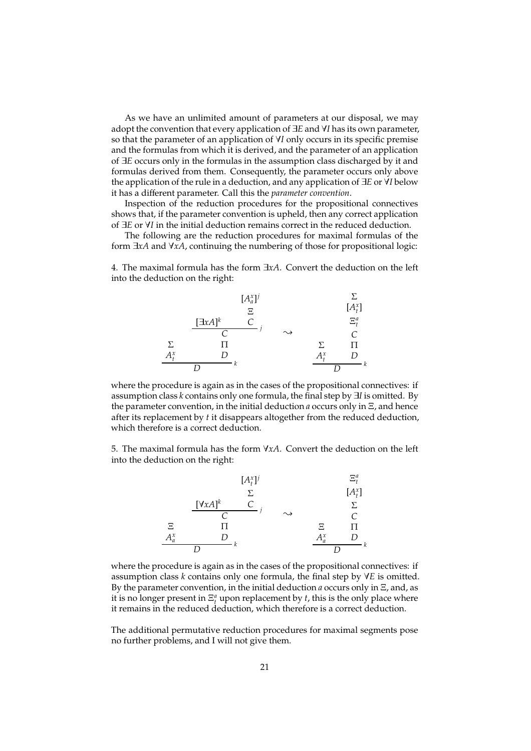As we have an unlimited amount of parameters at our disposal, we may adopt the convention that every application of ∃*E* and ∀*I* has its own parameter, so that the parameter of an application of ∀*I* only occurs in its specific premise and the formulas from which it is derived, and the parameter of an application of ∃*E* occurs only in the formulas in the assumption class discharged by it and formulas derived from them. Consequently, the parameter occurs only above the application of the rule in a deduction, and any application of ∃*E* or ∀*I* below it has a different parameter. Call this the *parameter convention*.

Inspection of the reduction procedures for the propositional connectives shows that, if the parameter convention is upheld, then any correct application of ∃*E* or ∀*I* in the initial deduction remains correct in the reduced deduction.

The following are the reduction procedures for maximal formulas of the form ∃*xA* and ∀*xA*, continuing the numbering of those for propositional logic:

4. The maximal formula has the form ∃*xA*. Convert the deduction on the left into the deduction on the right:



where the procedure is again as in the cases of the propositional connectives: if assumption class *k* contains only one formula, the final step by ∃*I* is omitted. By the parameter convention, in the initial deduction *a* occurs only in Ξ, and hence after its replacement by *t* it disappears altogether from the reduced deduction, which therefore is a correct deduction.

5. The maximal formula has the form ∀*xA*. Convert the deduction on the left into the deduction on the right:



where the procedure is again as in the cases of the propositional connectives: if assumption class *k* contains only one formula, the final step by ∀*E* is omitted. By the parameter convention, in the initial deduction *a* occurs only in Ξ, and, as it is no longer present in  $\Xi^a_t$  upon replacement by *t*, this is the only place where it remains in the reduced deduction, which therefore is a correct deduction.

The additional permutative reduction procedures for maximal segments pose no further problems, and I will not give them.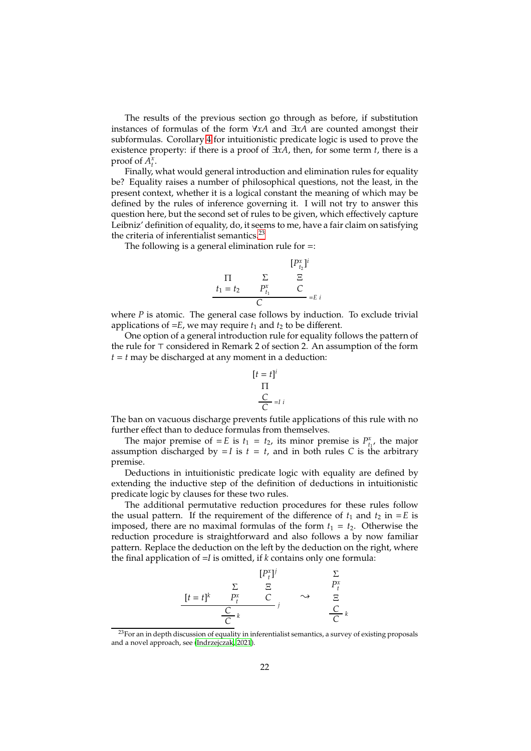The results of the previous section go through as before, if substitution instances of formulas of the form ∀*xA* and ∃*xA* are counted amongst their subformulas. Corollary [4](#page-18-1) for intuitionistic predicate logic is used to prove the existence property: if there is a proof of ∃*xA*, then, for some term *t*, there is a proof of  $A_t^x$ .

Finally, what would general introduction and elimination rules for equality be? Equality raises a number of philosophical questions, not the least, in the present context, whether it is a logical constant the meaning of which may be defined by the rules of inference governing it. I will not try to answer this question here, but the second set of rules to be given, which effectively capture Leibniz' definition of equality, do, it seems to me, have a fair claim on satisfying the criteria of inferentialist semantics.<sup>[23](#page-21-0)</sup>

The following is a general elimination rule for =:

$$
[P_{t_2}^x]^i
$$
  
\n
$$
\Pi \qquad \Sigma \qquad \Xi
$$
  
\n
$$
t_1 = t_2 \qquad P_{t_1}^x \qquad C
$$
  
\n
$$
C
$$
  
\n
$$
= E i
$$

where *P* is atomic. The general case follows by induction. To exclude trivial applications of  $=E$ , we may require  $t_1$  and  $t_2$  to be different.

One option of a general introduction rule for equality follows the pattern of the rule for ⊤ considered in Remark 2 of section 2. An assumption of the form *t* = *t* may be discharged at any moment in a deduction:

$$
[t = t]^i
$$
  
\n
$$
\Pi
$$
  
\n
$$
\frac{C}{C} = I
$$

The ban on vacuous discharge prevents futile applications of this rule with no further effect than to deduce formulas from themselves.

The major premise of  $= E$  is  $t_1 = t_2$ , its minor premise is  $P_{t_1}^x$ , the major assumption discharged by  $=$  *I* is  $t = t$ , and in both rules *C* is the arbitrary premise.

Deductions in intuitionistic predicate logic with equality are defined by extending the inductive step of the definition of deductions in intuitionistic predicate logic by clauses for these two rules.

The additional permutative reduction procedures for these rules follow the usual pattern. If the requirement of the difference of  $t_1$  and  $t_2$  in  $=E$  is imposed, there are no maximal formulas of the form  $t_1 = t_2$ . Otherwise the reduction procedure is straightforward and also follows a by now familiar pattern. Replace the deduction on the left by the deduction on the right, where the final application of =*I* is omitted, if *k* contains only one formula:

$$
[P_t^x]^j \qquad \sum_{\substack{\sum \atop \sum t = t_1^k \ p_t^x \\ \frac{C}{C} k}} \sum_{\substack{\sum \atop \sum t = t_1^k \ p_t^x \\ \frac{C}{C} k}} \sum_{\substack{\sum \atop \sum t = t_1^k \ p_t^x \\ \frac{C}{C} k}} \sum_{\substack{\sum \atop \sum t = t_1^k \ p_t^x \\ \frac{C}{C} k}} \sum_{\substack{\sum t = t_1^k \ p_t^x \\ \frac{C}{C} k}} \sum_{\substack{\sum t = t_1^k \ p_t^x \\ \frac{C}{C} k}} \sum_{\substack{\sum t = t_1^k \ p_t^x \\ \frac{C}{C} k}} \sum_{\substack{\sum \atop \sum t = t_1^k \ p_t^x \\ \frac{C}{C} k}} \sum_{\substack{\sum \atop \sum t = t_1^k \ p_t^x \\ \frac{C}{C} k}} \sum_{\substack{\sum \atop \sum t = t_1^k \ p_t^x \\ \frac{C}{C} k}} \sum_{\substack{\sum \atop \sum t = t_1^k \ p_t^x \\ \frac{C}{C} k}} \sum_{\substack{\sum \atop \sum t = t_1^k \ p_t^x \\ \frac{C}{C} k}} \sum_{\substack{\sum \atop \sum t = t_1^k \ p_t^x \\ \frac{C}{C} k}} \sum_{\substack{\sum \atop \sum t = t_1^k \ p_t^x \\ \frac{C}{C} k}} \sum_{\substack{\sum \atop \sum t = t_1^k \ p_t^x \\ \frac{C}{C} k}} \sum_{\substack{\sum \atop \sum t = t_1^k \ p_t^x \\ \frac{C}{C} k}} \sum_{\substack{\sum \atop \sum t = t_1^k \ p_t^x \\ \frac{C}{C} k}} \sum_{\substack{\sum \atop \sum t = t_1^k \ p_t^x \\ \frac{C}{C} k}} \sum_{\substack{\sum \atop \sum t = t_1^k \ p_t^x \\ \frac{C}{C} k}} \sum_{\substack{\sum \atop \sum t = t_1^k \ p_t^x \\ \frac{C}{C} k}} \sum_{\substack{\sum \atop \sum t = t_1^k \ p_t^x \\ \frac{C}{C} k}} \sum_{\substack{\sum \atop \sum t = t_1^k \ p_t^x \\ \frac{
$$

<span id="page-21-0"></span><sup>23</sup>For an in depth discussion of equality in inferentialist semantics, a survey of existing proposals and a novel approach, see [\(Indrzejczak](#page-24-21), [2021](#page-24-21)).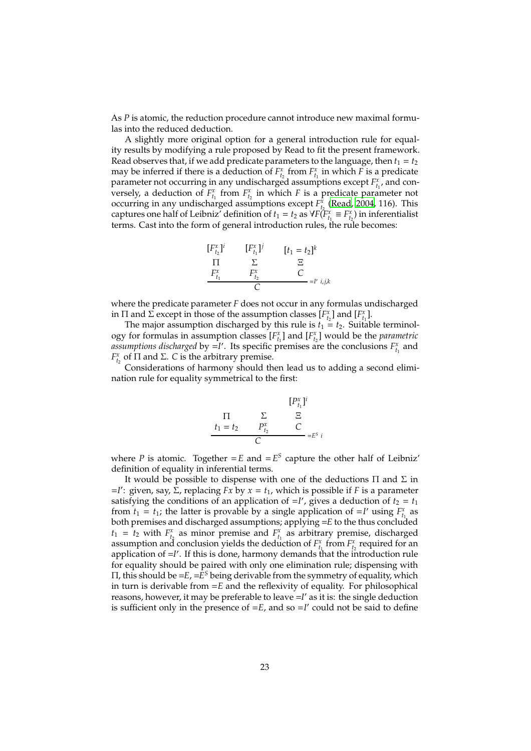As *P* is atomic, the reduction procedure cannot introduce new maximal formulas into the reduced deduction.

A slightly more original option for a general introduction rule for equality results by modifying a rule proposed by Read to fit the present framework. Read observes that, if we add predicate parameters to the language, then  $t_1 = t_2$ may be inferred if there is a deduction of  $F_{t_2}^x$  from  $F_{t_1}^x$  in which *F* is a predicate parameter not occurring in any undischarged assumptions except  $F_{t_1}^x$ , and conversely, a deduction of  $F_{t_1}^x$  from  $F_{t_2}^x$  in which *F* is a predicate parameter not occurring in any undischarged assumptions except  $F_{t_2}^x$  [\(Read, 2004,](#page-24-22) 116). This captures one half of Leibniz' definition of  $t_1 = t_2$  as  $\forall F(T^x_{t_1} \equiv F^x_{t_2})$  in inferentialist terms. Cast into the form of general introduction rules, the rule becomes:



where the predicate parameter *F* does not occur in any formulas undischarged in  $\Pi$  and  $\Sigma$  except in those of the assumption classes  $[F_{t_2}^x]$  and  $[F_{t_1}^x]$ .

The major assumption discharged by this rule is  $t_1 = t_2$ . Suitable terminology for formulas in assumption classes  $[F_{t_1}^x]$  and  $[F_{t_2}^x]$  would be the *parametric* assumptions discharged by =*I'*. Its specific premises are the conclusions  $F_{t_1}^x$  and *F*<sub>*t*2</sub></sub> of Π and Σ. *C* is the arbitrary premise.

Considerations of harmony should then lead us to adding a second elimination rule for equality symmetrical to the first:

$$
[P_{t_1}^x]^i
$$
  
\n
$$
\Pi \qquad \Sigma \qquad \Xi
$$
  
\n
$$
t_1 = t_2 \qquad P_{t_2}^x \qquad C
$$
  
\n
$$
C
$$
  
\n
$$
= E^s i
$$

where *P* is atomic. Together  $=E$  and  $=E^S$  capture the other half of Leibniz' definition of equality in inferential terms.

It would be possible to dispense with one of the deductions  $\Pi$  and  $\Sigma$  in  $=$ *I'*: given, say, Σ̂, replacing *Fx* by *x* = *t*<sub>1</sub>, which is possible if *F* is a parameter satisfying the conditions of an application of  $=$ *I'*, gives a deduction of  $t_2 = t_1$ from  $t_1 = t_1$ ; the latter is provable by a single application of  $= I'$  using  $F_{t_1}^x$  as both premises and discharged assumptions; applying =*E* to the thus concluded  $t_1 = t_2$  with  $F_{t_2}^x$  as minor premise and  $F_{t_1}^x$  as arbitrary premise, discharged assumption and conclusion yields the deduction of  $F_{t_1}^x$  from  $F_{t_2}^x$  required for an application of =*I'*. If this is done, harmony demands that the introduction rule for equality should be paired with only one elimination rule; dispensing with Π, this should be =*E*, =*E <sup>S</sup>* being derivable from the symmetry of equality, which in turn is derivable from =*E* and the reflexivity of equality. For philosophical reasons, however, it may be preferable to leave =*I* ′ as it is: the single deduction is sufficient only in the presence of  $=E$ , and so  $=I'$  could not be said to define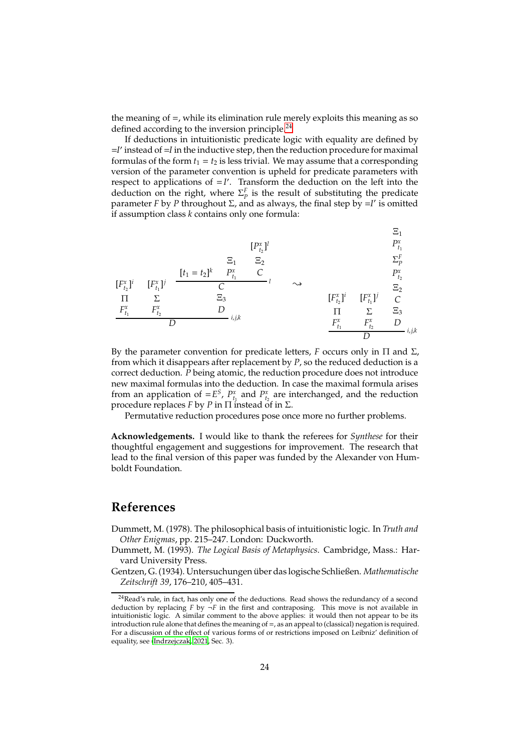the meaning of =, while its elimination rule merely exploits this meaning as so defined according to the inversion principle.<sup>[24](#page-23-3)</sup>

If deductions in intuitionistic predicate logic with equality are defined by =*I* ′ instead of =*I* in the inductive step, then the reduction procedure for maximal formulas of the form  $t_1 = t_2$  is less trivial. We may assume that a corresponding version of the parameter convention is upheld for predicate parameters with respect to applications of  $= I'$ . Transform the deduction on the left into the deduction on the right, where  $\Sigma_{p}^{F}$  is the result of substituting the predicate parameter *F* by *P* throughout Σ, and as always, the final step by =*I* ′ is omitted if assumption class *k* contains only one formula:

$$
[P_{t_2}^x]^l
$$
  
\n
$$
[P_{t_1}^x]^l
$$
  
\n
$$
[P_{t_1}^x]^l
$$
  
\n
$$
[F_{t_1}^x]^i
$$
  
\n
$$
[F_{t_1}^x]^j
$$
  
\n
$$
[F_{t_1}^x]^i
$$
  
\n
$$
[F_{t_1}^x]^i
$$
  
\n
$$
[F_{t_1}^x]^i
$$
  
\n
$$
[F_{t_1}^x]^i
$$
  
\n
$$
[F_{t_1}^x]^i
$$
  
\n
$$
[F_{t_1}^x]^i
$$
  
\n
$$
[F_{t_1}^x]^i
$$
  
\n
$$
[F_{t_1}^x]^i
$$
  
\n
$$
[F_{t_1}^x]^i
$$
  
\n
$$
[F_{t_1}^x]^i
$$
  
\n
$$
[F_{t_1}^x]^i
$$
  
\n
$$
[F_{t_1}^x]^i
$$
  
\n
$$
[F_{t_1}^x]^i
$$
  
\n
$$
[F_{t_1}^x]^i
$$
  
\n
$$
[F_{t_1}^x]^i
$$
  
\n
$$
[F_{t_1}^x]^i
$$
  
\n
$$
[F_{t_1}^x]^i
$$
  
\n
$$
[F_{t_1}^x]^i
$$
  
\n
$$
[F_{t_1}^x]^i
$$
  
\n
$$
[F_{t_1}^x]^i
$$
  
\n
$$
[F_{t_1}^x]^i
$$
  
\n
$$
[F_{t_1}^x]^i
$$
  
\n
$$
[F_{t_1}^x]^i
$$
  
\n
$$
[F_{t_1}^x]^i
$$
  
\n
$$
[F_{t_1}^x]^i
$$
  
\n
$$
[F_{t_1}^x]^i
$$
  
\n
$$
[F_{t_1}^x]^i
$$
  
\n
$$
[F_{t_1}^x]^i
$$
  
\n

By the parameter convention for predicate letters, *F* occurs only in Π and Σ, from which it disappears after replacement by *P*, so the reduced deduction is a correct deduction. *P* being atomic, the reduction procedure does not introduce new maximal formulas into the deduction. In case the maximal formula arises from an application of  $=E^S$ ,  $P_{t_1}^x$  and  $P_{t_2}^x$  are interchanged, and the reduction procedure replaces *F* by *P* in Π instead of in Σ.

Permutative reduction procedures pose once more no further problems.

**Acknowledgements.** I would like to thank the referees for *Synthese* for their thoughtful engagement and suggestions for improvement. The research that lead to the final version of this paper was funded by the Alexander von Humboldt Foundation.

### **References**

- <span id="page-23-1"></span>Dummett, M. (1978). The philosophical basis of intuitionistic logic. In *Truth and Other Enigmas*, pp. 215–247. London: Duckworth.
- <span id="page-23-2"></span>Dummett, M. (1993). *The Logical Basis of Metaphysics*. Cambridge, Mass.: Harvard University Press.
- <span id="page-23-0"></span>Gentzen, G. (1934). Untersuchungen ¨uber das logische Schließen. *Mathematische Zeitschrift 39*, 176–210, 405–431.

<span id="page-23-3"></span> $24$ Read's rule, in fact, has only one of the deductions. Read shows the redundancy of a second deduction by replacing  $F$  by  $\neg F$  in the first and contraposing. This move is not available in intuitionistic logic. A similar comment to the above applies: it would then not appear to be its introduction rule alone that defines the meaning of =, as an appeal to (classical) negation is required. For a discussion of the effect of various forms of or restrictions imposed on Leibniz' definition of equality, see [\(Indrzejczak](#page-24-21), [2021](#page-24-21), Sec. 3).